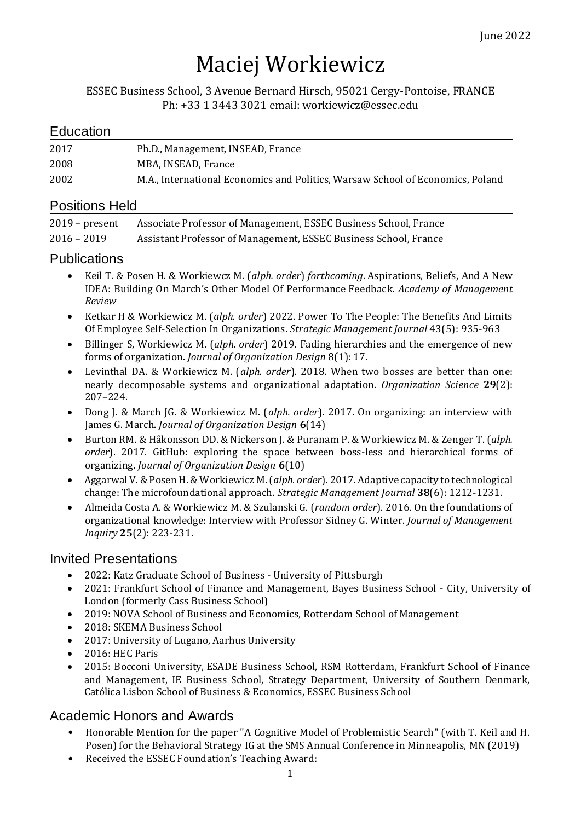# Maciej Workiewicz

ESSEC Business School, 3 Avenue Bernard Hirsch, 95021 Cergy-Pontoise, FRANCE Ph: +33 1 3443 3021 email: workiewicz@essec.edu

# **Education**

| 2017 | Ph.D., Management, INSEAD, France                                              |
|------|--------------------------------------------------------------------------------|
| 2008 | MBA. INSEAD. France                                                            |
| 2002 | M.A., International Economics and Politics, Warsaw School of Economics, Poland |

### Positions Held

| $2019$ – present | Associate Professor of Management, ESSEC Business School, France |
|------------------|------------------------------------------------------------------|
| $2016 - 2019$    | Assistant Professor of Management, ESSEC Business School, France |

### Publications

- Keil T. & Posen H. & Workiewcz M. (*alph. order*) *forthcoming*. Aspirations, Beliefs, And A New IDEA: Building On March's Other Model Of Performance Feedback. *Academy of Management Review*
- Ketkar H & Workiewicz M. (*alph. order*) 2022. Power To The People: The Benefits And Limits Of Employee Self-Selection In Organizations. *Strategic Management Journal* 43(5): 935-963
- Billinger S, Workiewicz M. (*alph. order*) 2019. Fading hierarchies and the emergence of new forms of organization. *Journal of Organization Design* 8(1): 17.
- Levinthal DA. & Workiewicz M. (*alph. order*). 2018. When two bosses are better than one: nearly decomposable systems and organizational adaptation. *Organization Science* **29**(2): 207–224.
- Dong J. & March JG. & Workiewicz M. (*alph. order*). 2017. On organizing: an interview with James G. March. *Journal of Organization Design* **6**(14)
- Burton RM. & Håkonsson DD. & Nickerson J. & Puranam P. & Workiewicz M. & Zenger T. (*alph. order*). 2017*.* GitHub: exploring the space between boss-less and hierarchical forms of organizing. *Journal of Organization Design* **6**(10)
- Aggarwal V. & Posen H. & Workiewicz M. (*alph. order*). 2017. Adaptive capacity to technological change: The microfoundational approach. *Strategic Management Journal* **38**(6): 1212-1231.
- Almeida Costa A. & Workiewicz M. & Szulanski G. (*random order*). 2016. On the foundations of organizational knowledge: Interview with Professor Sidney G. Winter. *Journal of Management Inquiry* **25**(2): 223-231.

# Invited Presentations

- 2022: Katz Graduate School of Business University of Pittsburgh
- 2021: Frankfurt School of Finance and Management, Bayes Business School City, University of London (formerly Cass Business School)
- 2019: NOVA School of Business and Economics, Rotterdam School of Management
- 2018: SKEMA Business School
- 2017: University of Lugano, Aarhus University
- 2016: HEC Paris
- 2015: Bocconi University, ESADE Business School, RSM Rotterdam, Frankfurt School of Finance and Management, IE Business School, Strategy Department, University of Southern Denmark, Católica Lisbon School of Business & Economics, ESSEC Business School

# Academic Honors and Awards

- Honorable Mention for the paper "A Cognitive Model of Problemistic Search" (with T. Keil and H. Posen) for the Behavioral Strategy IG at the SMS Annual Conference in Minneapolis, MN (2019)
- Received the ESSEC Foundation's Teaching Award: